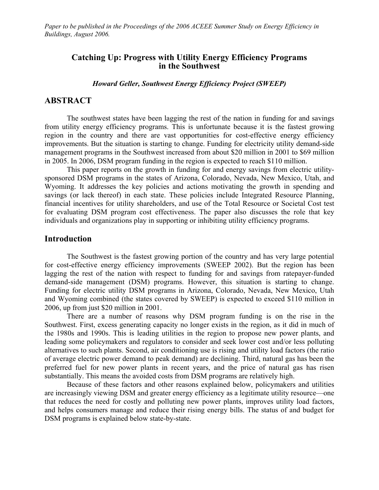*Paper to be published in the Proceedings of the 2006 ACEEE Summer Study on Energy Efficiency in Buildings, August 2006.* 

# **Catching Up: Progress with Utility Energy Efficiency Programs in the Southwest**

*Howard Geller, Southwest Energy Efficiency Project (SWEEP)* 

## **ABSTRACT**

The southwest states have been lagging the rest of the nation in funding for and savings from utility energy efficiency programs. This is unfortunate because it is the fastest growing region in the country and there are vast opportunities for cost-effective energy efficiency improvements. But the situation is starting to change. Funding for electricity utility demand-side management programs in the Southwest increased from about \$20 million in 2001 to \$69 million in 2005. In 2006, DSM program funding in the region is expected to reach \$110 million.

This paper reports on the growth in funding for and energy savings from electric utilitysponsored DSM programs in the states of Arizona, Colorado, Nevada, New Mexico, Utah, and Wyoming. It addresses the key policies and actions motivating the growth in spending and savings (or lack thereof) in each state. These policies include Integrated Resource Planning, financial incentives for utility shareholders, and use of the Total Resource or Societal Cost test for evaluating DSM program cost effectiveness. The paper also discusses the role that key individuals and organizations play in supporting or inhibiting utility efficiency programs.

# **Introduction**

The Southwest is the fastest growing portion of the country and has very large potential for cost-effective energy efficiency improvements (SWEEP 2002). But the region has been lagging the rest of the nation with respect to funding for and savings from ratepayer-funded demand-side management (DSM) programs. However, this situation is starting to change. Funding for electric utility DSM programs in Arizona, Colorado, Nevada, New Mexico, Utah and Wyoming combined (the states covered by SWEEP) is expected to exceed \$110 million in 2006, up from just \$20 million in 2001.

There are a number of reasons why DSM program funding is on the rise in the Southwest. First, excess generating capacity no longer exists in the region, as it did in much of the 1980s and 1990s. This is leading utilities in the region to propose new power plants, and leading some policymakers and regulators to consider and seek lower cost and/or less polluting alternatives to such plants. Second, air conditioning use is rising and utility load factors (the ratio of average electric power demand to peak demand) are declining. Third, natural gas has been the preferred fuel for new power plants in recent years, and the price of natural gas has risen substantially. This means the avoided costs from DSM programs are relatively high.

Because of these factors and other reasons explained below, policymakers and utilities are increasingly viewing DSM and greater energy efficiency as a legitimate utility resource—one that reduces the need for costly and polluting new power plants, improves utility load factors, and helps consumers manage and reduce their rising energy bills. The status of and budget for DSM programs is explained below state-by-state.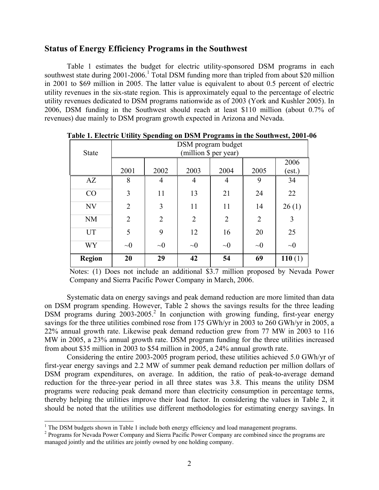# **Status of Energy Efficiency Programs in the Southwest**

Table 1 estimates the budget for electric utility-sponsored DSM programs in each southwest state during 200[1](#page-1-0)-2006.<sup>1</sup> Total DSM funding more than tripled from about \$20 million in 2001 to \$69 million in 2005. The latter value is equivalent to about 0.5 percent of electric utility revenues in the six-state region. This is approximately equal to the percentage of electric utility revenues dedicated to DSM programs nationwide as of 2003 (York and Kushler 2005). In 2006, DSM funding in the Southwest should reach at least \$110 million (about 0.7% of revenues) due mainly to DSM program growth expected in Arizona and Nevada.

| <b>State</b>  | DSM program budget<br>(million \$ per year) |                |                |                |          |                |  |
|---------------|---------------------------------------------|----------------|----------------|----------------|----------|----------------|--|
|               | 2001                                        | 2002           | 2003           | 2004           | 2005     | 2006<br>(est.) |  |
| AZ            | 8                                           | 4              | 4              | 4              | 9        | 34             |  |
| CO            | 3                                           | 11             | 13             | 21             | 24       | 22             |  |
| NV            | 2                                           | 3              | 11             | 11             | 14       | 26(1)          |  |
| <b>NM</b>     | $\overline{2}$                              | $\overline{2}$ | $\overline{2}$ | $\overline{2}$ | 2        | 3              |  |
| <b>UT</b>     | 5                                           | 9              | 12             | 16             | 20       | 25             |  |
| <b>WY</b>     | $\sim\!\!0$                                 | $\sim 0$       | $\sim 0$       | $\sim 0$       | $\sim 0$ | $\sim 0$       |  |
| <b>Region</b> | 20                                          | 29             | 42             | 54             | 69       | 110(1)         |  |

**Table 1. Electric Utility Spending on DSM Programs in the Southwest, 2001-06** 

Notes: (1) Does not include an additional \$3.7 million proposed by Nevada Power Company and Sierra Pacific Power Company in March, 2006.

Systematic data on energy savings and peak demand reduction are more limited than data on DSM program spending. However, Table 2 shows the savings results for the three leading DSM programs during 2003-2005.<sup>2</sup> In conjunction with growing funding, first-year energy savings for the three utilities combined rose from 175 GWh/yr in 2003 to 260 GWh/yr in 2005, a 22% annual growth rate. Likewise peak demand reduction grew from 77 MW in 2003 to 116 MW in 2005, a 23% annual growth rate. DSM program funding for the three utilities increased from about \$35 million in 2003 to \$54 million in 2005, a 24% annual growth rate.

Considering the entire 2003-2005 program period, these utilities achieved 5.0 GWh/yr of first-year energy savings and 2.2 MW of summer peak demand reduction per million dollars of DSM program expenditures, on average. In addition, the ratio of peak-to-average demand reduction for the three-year period in all three states was 3.8. This means the utility DSM programs were reducing peak demand more than electricity consumption in percentage terms, thereby helping the utilities improve their load factor. In considering the values in Table 2, it should be noted that the utilities use different methodologies for estimating energy savings. In

<span id="page-1-0"></span><sup>|&</sup>lt;br>|<br>| <sup>1</sup> The DSM budgets shown in Table 1 include both energy efficiency and load management programs. <sup>2</sup> Programs for Nevada Power Company and Sierra Pacific Power Company are combined since the programs are

<span id="page-1-1"></span>managed jointly and the utilities are jointly owned by one holding company.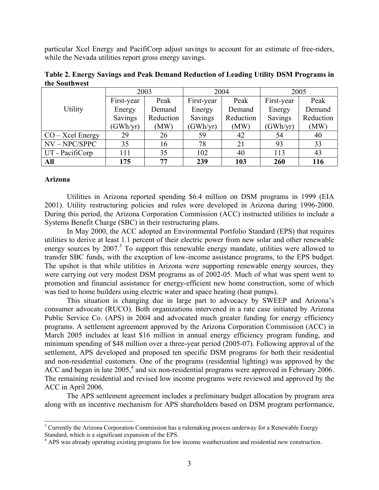particular Xcel Energy and PacifiCorp adjust savings to account for an estimate of free-riders, while the Nevada utilities report gross energy savings.

|                    | 2003       |           | 2004       |           | 2005       |           |  |
|--------------------|------------|-----------|------------|-----------|------------|-----------|--|
|                    | First-year | Peak      | First-year | Peak      | First-year | Peak      |  |
| Utility            | Energy     | Demand    | Energy     | Demand    | Energy     | Demand    |  |
|                    | Savings    | Reduction | Savings    | Reduction | Savings    | Reduction |  |
|                    | (GWh/yr)   | (MW)      |            | (MW)      | (GWh/yr)   | (MW)      |  |
| $CO - Xcel$ Energy | 29         | 26        | 59         | 42        | 54         | 40        |  |
| $NV - NPC/SPPC$    | 35         | 16        | 78         | 21        | 93         | 33        |  |
| UT - PacifiCorp    | 111        | 35        | 102        | 40        | 113        | 43        |  |
| All                | 175        | 77        | 239        | 103       | 260        | 116       |  |

**Table 2. Energy Savings and Peak Demand Reduction of Leading Utility DSM Programs in the Southwest** 

#### **Arizona**

Utilities in Arizona reported spending \$6.4 million on DSM programs in 1999 (EIA 2001). Utility restructuring policies and rules were developed in Arizona during 1996-2000. During this period, the Arizona Corporation Commission (ACC) instructed utilities to include a Systems Benefit Charge (SBC) in their restructuring plans.

In May 2000, the ACC adopted an Environmental Portfolio Standard (EPS) that requires utilities to derive at least 1.1 percent of their electric power from new solar and other renewable energy sources by  $2007<sup>3</sup>$  $2007<sup>3</sup>$  $2007<sup>3</sup>$  To support this renewable energy mandate, utilities were allowed to transfer SBC funds, with the exception of low-income assistance programs, to the EPS budget. The upshot is that while utilities in Arizona were supporting renewable energy sources, they were carrying out very modest DSM programs as of 2002-05. Much of what was spent went to promotion and financial assistance for energy-efficient new home construction, some of which was tied to home builders using electric water and space heating (heat pumps).

This situation is changing due in large part to advocacy by SWEEP and Arizona's consumer advocate (RUCO). Both organizations intervened in a rate case initiated by Arizona Public Service Co. (APS) in 2004 and advocated much greater funding for energy efficiency programs. A settlement agreement approved by the Arizona Corporation Commission (ACC) in March 2005 includes at least \$16 million in annual energy efficiency program funding, and minimum spending of \$48 million over a three-year period (2005-07). Following approval of the settlement, APS developed and proposed ten specific DSM programs for both their residential and non-residential customers. One of the programs (residential lighting) was approved by the ACC and began in late  $2005<sup>4</sup>$  $2005<sup>4</sup>$  $2005<sup>4</sup>$  and six non-residential programs were approved in February 2006. The remaining residential and revised low income programs were reviewed and approved by the ACC in April 2006.

The APS settlement agreement includes a preliminary budget allocation by program area along with an incentive mechanism for APS shareholders based on DSM program performance,

<span id="page-2-0"></span> <sup>3</sup> <sup>3</sup> Currently the Arizona Corporation Commission has a rulemaking process underway for a Renewable Energy Standard, which is a significant expansion of the EPS.

<span id="page-2-1"></span><sup>&</sup>lt;sup>4</sup> APS was already operating existing programs for low income weatherization and residential new construction.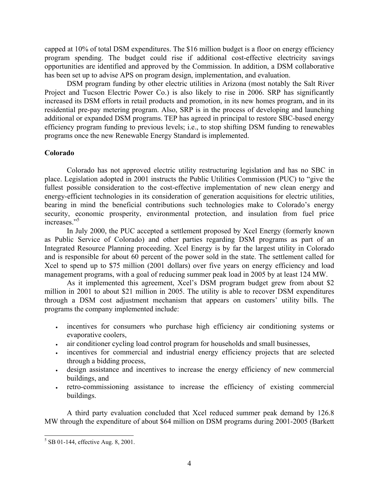capped at 10% of total DSM expenditures. The \$16 million budget is a floor on energy efficiency program spending. The budget could rise if additional cost-effective electricity savings opportunities are identified and approved by the Commission. In addition, a DSM collaborative has been set up to advise APS on program design, implementation, and evaluation.

DSM program funding by other electric utilities in Arizona (most notably the Salt River Project and Tucson Electric Power Co.) is also likely to rise in 2006. SRP has significantly increased its DSM efforts in retail products and promotion, in its new homes program, and in its residential pre-pay metering program. Also, SRP is in the process of developing and launching additional or expanded DSM programs. TEP has agreed in principal to restore SBC-based energy efficiency program funding to previous levels; i.e., to stop shifting DSM funding to renewables programs once the new Renewable Energy Standard is implemented.

## **Colorado**

Colorado has not approved electric utility restructuring legislation and has no SBC in place. Legislation adopted in 2001 instructs the Public Utilities Commission (PUC) to "give the fullest possible consideration to the cost-effective implementation of new clean energy and energy-efficient technologies in its consideration of generation acquisitions for electric utilities, bearing in mind the beneficial contributions such technologies make to Colorado's energy security, economic prosperity, environmental protection, and insulation from fuel price increases."<sup>[5](#page-3-0)</sup>

In July 2000, the PUC accepted a settlement proposed by Xcel Energy (formerly known as Public Service of Colorado) and other parties regarding DSM programs as part of an Integrated Resource Planning proceeding. Xcel Energy is by far the largest utility in Colorado and is responsible for about 60 percent of the power sold in the state. The settlement called for Xcel to spend up to \$75 million (2001 dollars) over five years on energy efficiency and load management programs, with a goal of reducing summer peak load in 2005 by at least 124 MW.

As it implemented this agreement, Xcel's DSM program budget grew from about \$2 million in 2001 to about \$21 million in 2005. The utility is able to recover DSM expenditures through a DSM cost adjustment mechanism that appears on customers' utility bills. The programs the company implemented include:

- incentives for consumers who purchase high efficiency air conditioning systems or evaporative coolers,
- air conditioner cycling load control program for households and small businesses,
- incentives for commercial and industrial energy efficiency projects that are selected through a bidding process,
- design assistance and incentives to increase the energy efficiency of new commercial buildings, and
- retro-commissioning assistance to increase the efficiency of existing commercial buildings.

A third party evaluation concluded that Xcel reduced summer peak demand by 126.8 MW through the expenditure of about \$64 million on DSM programs during 2001-2005 (Barkett

<span id="page-3-0"></span> <sup>5</sup>  $5$  SB 01-144, effective Aug. 8, 2001.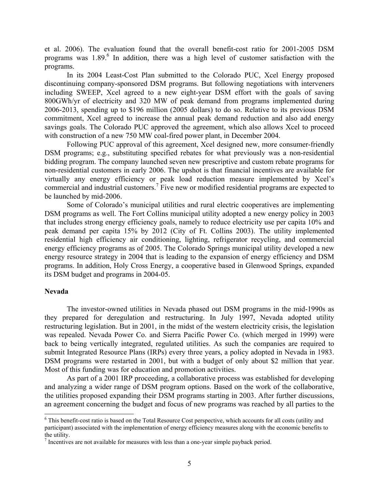et al. 2006). The evaluation found that the overall benefit-cost ratio for 2001-2005 DSM programs was 1.89.<sup>[6](#page-4-0)</sup> In addition, there was a high level of customer satisfaction with the programs.

In its 2004 Least-Cost Plan submitted to the Colorado PUC, Xcel Energy proposed discontinuing company-sponsored DSM programs. But following negotiations with interveners including SWEEP, Xcel agreed to a new eight-year DSM effort with the goals of saving 800GWh/yr of electricity and 320 MW of peak demand from programs implemented during 2006-2013, spending up to \$196 million (2005 dollars) to do so. Relative to its previous DSM commitment, Xcel agreed to increase the annual peak demand reduction and also add energy savings goals. The Colorado PUC approved the agreement, which also allows Xcel to proceed with construction of a new 750 MW coal-fired power plant, in December 2004.

Following PUC approval of this agreement, Xcel designed new, more consumer-friendly DSM programs; e.g., substituting specified rebates for what previously was a non-residential bidding program. The company launched seven new prescriptive and custom rebate programs for non-residential customers in early 2006. The upshot is that financial incentives are available for virtually any energy efficiency or peak load reduction measure implemented by Xcel's commercial and industrial customers.<sup>7</sup> Five new or modified residential programs are expected to be launched by mid-2006.

Some of Colorado's municipal utilities and rural electric cooperatives are implementing DSM programs as well. The Fort Collins municipal utility adopted a new energy policy in 2003 that includes strong energy efficiency goals, namely to reduce electricity use per capita 10% and peak demand per capita 15% by 2012 (City of Ft. Collins 2003). The utility implemented residential high efficiency air conditioning, lighting, refrigerator recycling, and commercial energy efficiency programs as of 2005. The Colorado Springs municipal utility developed a new energy resource strategy in 2004 that is leading to the expansion of energy efficiency and DSM programs. In addition, Holy Cross Energy, a cooperative based in Glenwood Springs, expanded its DSM budget and programs in 2004-05.

#### **Nevada**

The investor-owned utilities in Nevada phased out DSM programs in the mid-1990s as they prepared for deregulation and restructuring. In July 1997, Nevada adopted utility restructuring legislation. But in 2001, in the midst of the western electricity crisis, the legislation was repealed. Nevada Power Co. and Sierra Pacific Power Co. (which merged in 1999) were back to being vertically integrated, regulated utilities. As such the companies are required to submit Integrated Resource Plans (IRPs) every three years, a policy adopted in Nevada in 1983. DSM programs were restarted in 2001, but with a budget of only about \$2 million that year. Most of this funding was for education and promotion activities.

As part of a 2001 IRP proceeding, a collaborative process was established for developing and analyzing a wider range of DSM program options. Based on the work of the collaborative, the utilities proposed expanding their DSM programs starting in 2003. After further discussions, an agreement concerning the budget and focus of new programs was reached by all parties to the

<span id="page-4-0"></span> <sup>6</sup> <sup>6</sup> This benefit-cost ratio is based on the Total Resource Cost perspective, which accounts for all costs (utility and participant) associated with the implementation of energy efficiency measures along with the economic benefits to the utility.

<span id="page-4-1"></span>Incentives are not available for measures with less than a one-year simple payback period.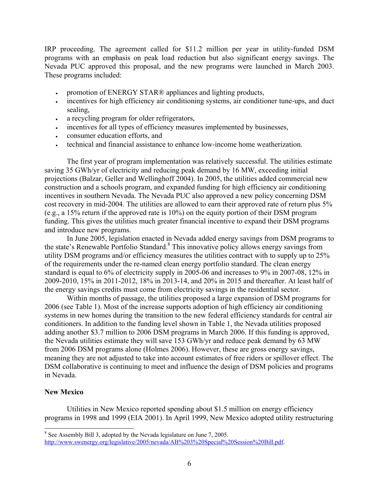IRP proceeding. The agreement called for \$11.2 million per year in utility-funded DSM programs with an emphasis on peak load reduction but also significant energy savings. The Nevada PUC approved this proposal, and the new programs were launched in March 2003. These programs included:

- promotion of ENERGY STAR® appliances and lighting products,
- incentives for high efficiency air conditioning systems, air conditioner tune-ups, and duct sealing,
- a recycling program for older refrigerators,
- incentives for all types of efficiency measures implemented by businesses,
- consumer education efforts, and
- technical and financial assistance to enhance low-income home weatherization.

The first year of program implementation was relatively successful. The utilities estimate saving 35 GWh/yr of electricity and reducing peak demand by 16 MW, exceeding initial projections (Balzar, Geller and Wellinghoff 2004). In 2005, the utilities added commercial new construction and a schools program, and expanded funding for high efficiency air conditioning incentives in southern Nevada. The Nevada PUC also approved a new policy concerning DSM cost recovery in mid-2004. The utilities are allowed to earn their approved rate of return plus 5% (e.g., a 15% return if the approved rate is 10%) on the equity portion of their DSM program funding. This gives the utilities much greater financial incentive to expand their DSM programs and introduce new programs.

In June 2005, legislation enacted in Nevada added energy savings from DSM programs to the state's Renewable Portfolio Standard.<sup>[8](#page-5-0)</sup> This innovative policy allows energy savings from utility DSM programs and/or efficiency measures the utilities contract with to supply up to 25% of the requirements under the re-named clean energy portfolio standard. The clean energy standard is equal to 6% of electricity supply in 2005-06 and increases to 9% in 2007-08, 12% in 2009-2010, 15% in 2011-2012, 18% in 2013-14, and 20% in 2015 and thereafter. At least half of the energy savings credits must come from electricity savings in the residential sector.

Within months of passage, the utilities proposed a large expansion of DSM programs for 2006 (see Table 1). Most of the increase supports adoption of high efficiency air conditioning systems in new homes during the transition to the new federal efficiency standards for central air conditioners. In addition to the funding level shown in Table 1, the Nevada utilities proposed adding another \$3.7 million to 2006 DSM programs in March 2006. If this funding is approved, the Nevada utilities estimate they will save 153 GWh/yr and reduce peak demand by 63 MW from 2006 DSM programs alone (Holmes 2006). However, these are gross energy savings, meaning they are not adjusted to take into account estimates of free riders or spillover effect. The DSM collaborative is continuing to meet and influence the design of DSM policies and programs in Nevada.

## **New Mexico**

Utilities in New Mexico reported spending about \$1.5 million on energy efficiency programs in 1998 and 1999 (EIA 2001). In April 1999, New Mexico adopted utility restructuring

<span id="page-5-0"></span> <sup>8</sup> <sup>8</sup> See Assembly Bill 3, adopted by the Nevada legislature on June 7, 2005. [http://www.swenergy.org/legislative/2005/nevada/AB%203%20Special%20Session%20Bill.pdf.](http://www.swenergy.org/legislative/2005/nevada/AB 3 Special Session Bill.pdf)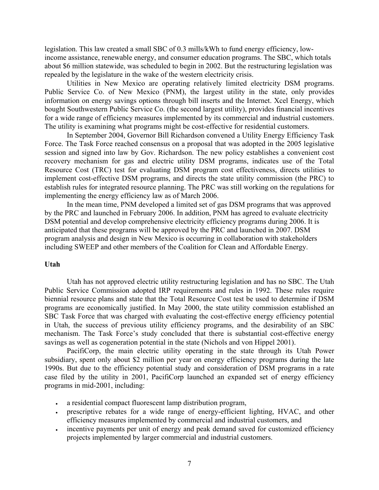legislation. This law created a small SBC of 0.3 mills/kWh to fund energy efficiency, lowincome assistance, renewable energy, and consumer education programs. The SBC, which totals about \$6 million statewide, was scheduled to begin in 2002. But the restructuring legislation was repealed by the legislature in the wake of the western electricity crisis.

Utilities in New Mexico are operating relatively limited electricity DSM programs. Public Service Co. of New Mexico (PNM), the largest utility in the state, only provides information on energy savings options through bill inserts and the Internet. Xcel Energy, which bought Southwestern Public Service Co. (the second largest utility), provides financial incentives for a wide range of efficiency measures implemented by its commercial and industrial customers. The utility is examining what programs might be cost-effective for residential customers.

In September 2004, Governor Bill Richardson convened a Utility Energy Efficiency Task Force. The Task Force reached consensus on a proposal that was adopted in the 2005 legislative session and signed into law by Gov. Richardson. The new policy establishes a convenient cost recovery mechanism for gas and electric utility DSM programs, indicates use of the Total Resource Cost (TRC) test for evaluating DSM program cost effectiveness, directs utilities to implement cost-effective DSM programs, and directs the state utility commission (the PRC) to establish rules for integrated resource planning. The PRC was still working on the regulations for implementing the energy efficiency law as of March 2006.

In the mean time, PNM developed a limited set of gas DSM programs that was approved by the PRC and launched in February 2006. In addition, PNM has agreed to evaluate electricity DSM potential and develop comprehensive electricity efficiency programs during 2006. It is anticipated that these programs will be approved by the PRC and launched in 2007. DSM program analysis and design in New Mexico is occurring in collaboration with stakeholders including SWEEP and other members of the Coalition for Clean and Affordable Energy.

#### **Utah**

Utah has not approved electric utility restructuring legislation and has no SBC. The Utah Public Service Commission adopted IRP requirements and rules in 1992. These rules require biennial resource plans and state that the Total Resource Cost test be used to determine if DSM programs are economically justified. In May 2000, the state utility commission established an SBC Task Force that was charged with evaluating the cost-effective energy efficiency potential in Utah, the success of previous utility efficiency programs, and the desirability of an SBC mechanism. The Task Force's study concluded that there is substantial cost-effective energy savings as well as cogeneration potential in the state (Nichols and von Hippel 2001).

PacifiCorp, the main electric utility operating in the state through its Utah Power subsidiary, spent only about \$2 million per year on energy efficiency programs during the late 1990s. But due to the efficiency potential study and consideration of DSM programs in a rate case filed by the utility in 2001, PacifiCorp launched an expanded set of energy efficiency programs in mid-2001, including:

- a residential compact fluorescent lamp distribution program,
- prescriptive rebates for a wide range of energy-efficient lighting, HVAC, and other efficiency measures implemented by commercial and industrial customers, and
- incentive payments per unit of energy and peak demand saved for customized efficiency projects implemented by larger commercial and industrial customers.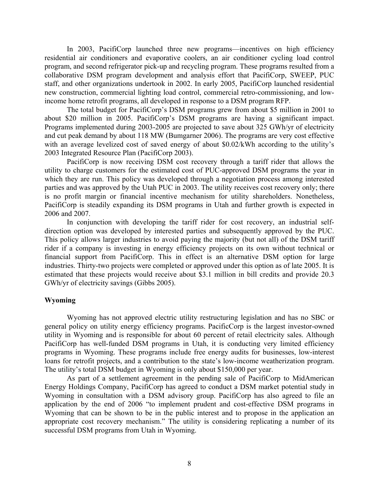In 2003, PacifiCorp launched three new programs—incentives on high efficiency residential air conditioners and evaporative coolers, an air conditioner cycling load control program, and second refrigerator pick-up and recycling program. These programs resulted from a collaborative DSM program development and analysis effort that PacifiCorp, SWEEP, PUC staff, and other organizations undertook in 2002. In early 2005, PacifiCorp launched residential new construction, commercial lighting load control, commercial retro-commissioning, and lowincome home retrofit programs, all developed in response to a DSM program RFP.

The total budget for PacifiCorp's DSM programs grew from about \$5 million in 2001 to about \$20 million in 2005. PacifiCorp's DSM programs are having a significant impact. Programs implemented during 2003-2005 are projected to save about 325 GWh/yr of electricity and cut peak demand by about 118 MW (Bumgarner 2006). The programs are very cost effective with an average levelized cost of saved energy of about \$0.02/kWh according to the utility's 2003 Integrated Resource Plan (PacifiCorp 2003).

PacifiCorp is now receiving DSM cost recovery through a tariff rider that allows the utility to charge customers for the estimated cost of PUC-approved DSM programs the year in which they are run. This policy was developed through a negotiation process among interested parties and was approved by the Utah PUC in 2003. The utility receives cost recovery only; there is no profit margin or financial incentive mechanism for utility shareholders. Nonetheless, PacifiCorp is steadily expanding its DSM programs in Utah and further growth is expected in 2006 and 2007.

In conjunction with developing the tariff rider for cost recovery, an industrial selfdirection option was developed by interested parties and subsequently approved by the PUC. This policy allows larger industries to avoid paying the majority (but not all) of the DSM tariff rider if a company is investing in energy efficiency projects on its own without technical or financial support from PacifiCorp. This in effect is an alternative DSM option for large industries. Thirty-two projects were completed or approved under this option as of late 2005. It is estimated that these projects would receive about \$3.1 million in bill credits and provide 20.3 GWh/yr of electricity savings (Gibbs 2005).

### **Wyoming**

Wyoming has not approved electric utility restructuring legislation and has no SBC or general policy on utility energy efficiency programs. PacificCorp is the largest investor-owned utility in Wyoming and is responsible for about 60 percent of retail electricity sales. Although PacifiCorp has well-funded DSM programs in Utah, it is conducting very limited efficiency programs in Wyoming. These programs include free energy audits for businesses, low-interest loans for retrofit projects, and a contribution to the state's low-income weatherization program. The utility's total DSM budget in Wyoming is only about \$150,000 per year.

As part of a settlement agreement in the pending sale of PacifiCorp to MidAmerican Energy Holdings Company, PacifiCorp has agreed to conduct a DSM market potential study in Wyoming in consultation with a DSM advisory group. PacifiCorp has also agreed to file an application by the end of 2006 "to implement prudent and cost-effective DSM programs in Wyoming that can be shown to be in the public interest and to propose in the application an appropriate cost recovery mechanism." The utility is considering replicating a number of its successful DSM programs from Utah in Wyoming.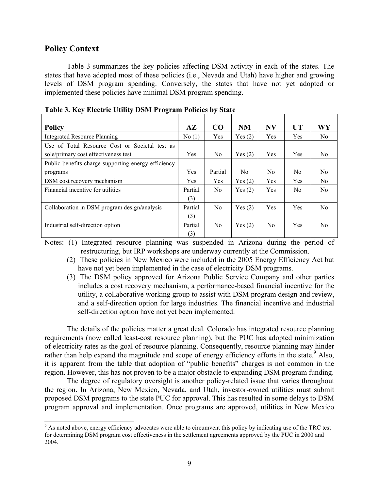# **Policy Context**

Table 3 summarizes the key policies affecting DSM activity in each of the states. The states that have adopted most of these policies (i.e., Nevada and Utah) have higher and growing levels of DSM program spending. Conversely, the states that have not yet adopted or implemented these policies have minimal DSM program spending.

| <b>Policy</b>                                       | $A\mathbf{Z}$ | CO             | <b>NM</b>      | <b>NV</b>      | <b>UT</b>      | WY             |
|-----------------------------------------------------|---------------|----------------|----------------|----------------|----------------|----------------|
| <b>Integrated Resource Planning</b>                 | No(1)         | Yes            | Yes(2)         | Yes            | Yes            | N <sub>0</sub> |
| Use of Total Resource Cost or Societal test as      |               |                |                |                |                |                |
| sole/primary cost effectiveness test                |               | No.            | Yes(2)         | Yes            | <b>Yes</b>     | No.            |
| Public benefits charge supporting energy efficiency |               |                |                |                |                |                |
| programs                                            | Yes           | Partial        | N <sub>0</sub> | N <sub>0</sub> | No.            | N <sub>0</sub> |
| DSM cost recovery mechanism                         | Yes           | Yes            | Yes(2)         | Yes            | Yes            | No.            |
| Financial incentive for utilities                   | Partial       | No             | Yes $(2)$      | Yes            | N <sub>0</sub> | No.            |
|                                                     | (3)           |                |                |                |                |                |
| Collaboration in DSM program design/analysis        | Partial       | N <sub>0</sub> | Yes(2)         | Yes            | <b>Yes</b>     | No.            |
|                                                     | (3)           |                |                |                |                |                |
| Industrial self-direction option                    | Partial       | N <sub>0</sub> | Yes $(2)$      | N <sub>0</sub> | <b>Yes</b>     | N <sub>0</sub> |
|                                                     | (3)           |                |                |                |                |                |

**Table 3. Key Electric Utility DSM Program Policies by State** 

Notes: (1) Integrated resource planning was suspended in Arizona during the period of restructuring, but IRP workshops are underway currently at the Commission.

(2) These policies in New Mexico were included in the 2005 Energy Efficiency Act but have not yet been implemented in the case of electricity DSM programs.

(3) The DSM policy approved for Arizona Public Service Company and other parties includes a cost recovery mechanism, a performance-based financial incentive for the utility, a collaborative working group to assist with DSM program design and review, and a self-direction option for large industries. The financial incentive and industrial self-direction option have not yet been implemented.

The details of the policies matter a great deal. Colorado has integrated resource planning requirements (now called least-cost resource planning), but the PUC has adopted minimization of electricity rates as the goal of resource planning. Consequently, resource planning may hinder rather than help expand the magnitude and scope of energy efficiency efforts in the state.<sup>[9](#page-8-0)</sup> Also, it is apparent from the table that adoption of "public benefits" charges is not common in the region. However, this has not proven to be a major obstacle to expanding DSM program funding.

The degree of regulatory oversight is another policy-related issue that varies throughout the region. In Arizona, New Mexico, Nevada, and Utah, investor-owned utilities must submit proposed DSM programs to the state PUC for approval. This has resulted in some delays to DSM program approval and implementation. Once programs are approved, utilities in New Mexico

<span id="page-8-0"></span><sup>.&</sup>lt;br>9 <sup>9</sup> As noted above, energy efficiency advocates were able to circumvent this policy by indicating use of the TRC test for determining DSM program cost effectiveness in the settlement agreements approved by the PUC in 2000 and 2004.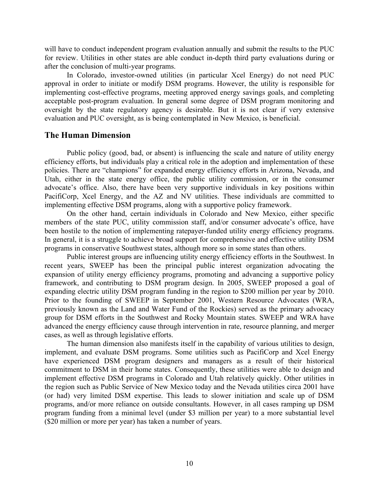will have to conduct independent program evaluation annually and submit the results to the PUC for review. Utilities in other states are able conduct in-depth third party evaluations during or after the conclusion of multi-year programs.

In Colorado, investor-owned utilities (in particular Xcel Energy) do not need PUC approval in order to initiate or modify DSM programs. However, the utility is responsible for implementing cost-effective programs, meeting approved energy savings goals, and completing acceptable post-program evaluation. In general some degree of DSM program monitoring and oversight by the state regulatory agency is desirable. But it is not clear if very extensive evaluation and PUC oversight, as is being contemplated in New Mexico, is beneficial.

# **The Human Dimension**

Public policy (good, bad, or absent) is influencing the scale and nature of utility energy efficiency efforts, but individuals play a critical role in the adoption and implementation of these policies. There are "champions" for expanded energy efficiency efforts in Arizona, Nevada, and Utah, either in the state energy office, the public utility commission, or in the consumer advocate's office. Also, there have been very supportive individuals in key positions within PacifiCorp, Xcel Energy, and the AZ and NV utilities. These individuals are committed to implementing effective DSM programs, along with a supportive policy framework.

On the other hand, certain individuals in Colorado and New Mexico, either specific members of the state PUC, utility commission staff, and/or consumer advocate's office, have been hostile to the notion of implementing ratepayer-funded utility energy efficiency programs. In general, it is a struggle to achieve broad support for comprehensive and effective utility DSM programs in conservative Southwest states, although more so in some states than others.

Public interest groups are influencing utility energy efficiency efforts in the Southwest. In recent years, SWEEP has been the principal public interest organization advocating the expansion of utility energy efficiency programs, promoting and advancing a supportive policy framework, and contributing to DSM program design. In 2005, SWEEP proposed a goal of expanding electric utility DSM program funding in the region to \$200 million per year by 2010. Prior to the founding of SWEEP in September 2001, Western Resource Advocates (WRA, previously known as the Land and Water Fund of the Rockies) served as the primary advocacy group for DSM efforts in the Southwest and Rocky Mountain states. SWEEP and WRA have advanced the energy efficiency cause through intervention in rate, resource planning, and merger cases, as well as through legislative efforts.

The human dimension also manifests itself in the capability of various utilities to design, implement, and evaluate DSM programs. Some utilities such as PacifiCorp and Xcel Energy have experienced DSM program designers and managers as a result of their historical commitment to DSM in their home states. Consequently, these utilities were able to design and implement effective DSM programs in Colorado and Utah relatively quickly. Other utilities in the region such as Public Service of New Mexico today and the Nevada utilities circa 2001 have (or had) very limited DSM expertise. This leads to slower initiation and scale up of DSM programs, and/or more reliance on outside consultants. However, in all cases ramping up DSM program funding from a minimal level (under \$3 million per year) to a more substantial level (\$20 million or more per year) has taken a number of years.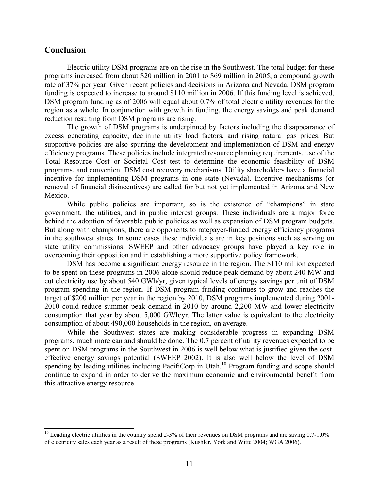# **Conclusion**

Electric utility DSM programs are on the rise in the Southwest. The total budget for these programs increased from about \$20 million in 2001 to \$69 million in 2005, a compound growth rate of 37% per year. Given recent policies and decisions in Arizona and Nevada, DSM program funding is expected to increase to around \$110 million in 2006. If this funding level is achieved, DSM program funding as of 2006 will equal about 0.7% of total electric utility revenues for the region as a whole. In conjunction with growth in funding, the energy savings and peak demand reduction resulting from DSM programs are rising.

The growth of DSM programs is underpinned by factors including the disappearance of excess generating capacity, declining utility load factors, and rising natural gas prices. But supportive policies are also spurring the development and implementation of DSM and energy efficiency programs. These policies include integrated resource planning requirements, use of the Total Resource Cost or Societal Cost test to determine the economic feasibility of DSM programs, and convenient DSM cost recovery mechanisms. Utility shareholders have a financial incentive for implementing DSM programs in one state (Nevada). Incentive mechanisms (or removal of financial disincentives) are called for but not yet implemented in Arizona and New Mexico.

While public policies are important, so is the existence of "champions" in state government, the utilities, and in public interest groups. These individuals are a major force behind the adoption of favorable public policies as well as expansion of DSM program budgets. But along with champions, there are opponents to ratepayer-funded energy efficiency programs in the southwest states. In some cases these individuals are in key positions such as serving on state utility commissions. SWEEP and other advocacy groups have played a key role in overcoming their opposition and in establishing a more supportive policy framework.

DSM has become a significant energy resource in the region. The \$110 million expected to be spent on these programs in 2006 alone should reduce peak demand by about 240 MW and cut electricity use by about 540 GWh/yr, given typical levels of energy savings per unit of DSM program spending in the region. If DSM program funding continues to grow and reaches the target of \$200 million per year in the region by 2010, DSM programs implemented during 2001- 2010 could reduce summer peak demand in 2010 by around 2,200 MW and lower electricity consumption that year by about 5,000 GWh/yr. The latter value is equivalent to the electricity consumption of about 490,000 households in the region, on average.

While the Southwest states are making considerable progress in expanding DSM programs, much more can and should be done. The 0.7 percent of utility revenues expected to be spent on DSM programs in the Southwest in 2006 is well below what is justified given the costeffective energy savings potential (SWEEP 2002). It is also well below the level of DSM spending by leading utilities including PacifiCorp in Utah.<sup>10</sup> Program funding and scope should continue to expand in order to derive the maximum economic and environmental benefit from this attractive energy resource.

<span id="page-10-0"></span> $^{10}$  Leading electric utilities in the country spend 2-3% of their revenues on DSM programs and are saving 0.7-1.0% of electricity sales each year as a result of these programs (Kushler, York and Witte 2004; WGA 2006).